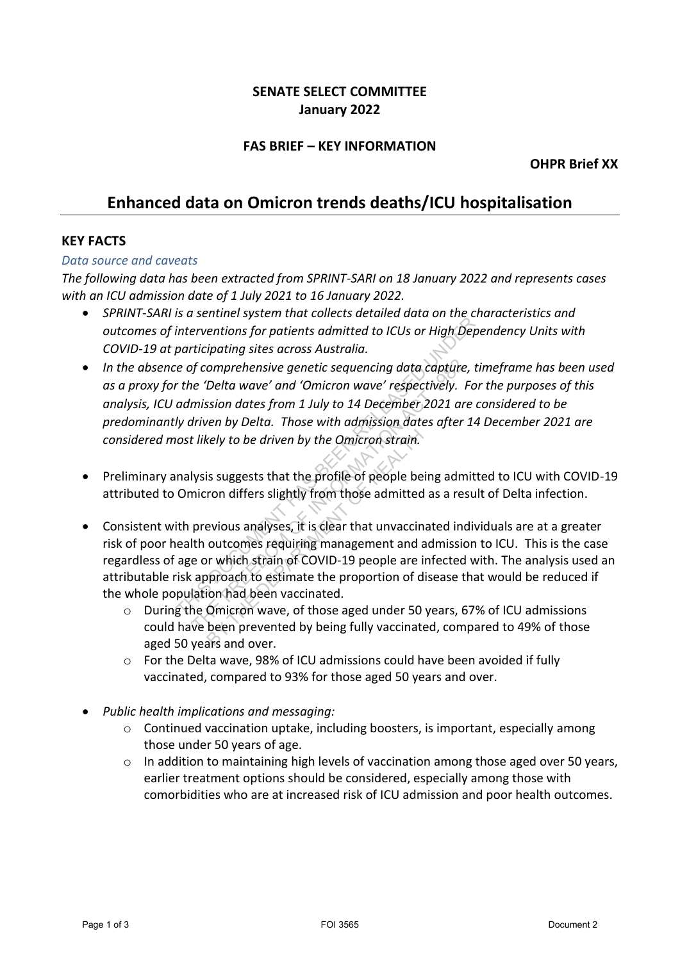# **SENATE SELECT COMMITTEE January 2022**

## **FAS BRIEF – KEY INFORMATION**

**OHPR Brief XX**

# **Enhanced data on Omicron trends deaths/ICU hospitalisation**

#### **KEY FACTS**

#### *Data source and caveats*

*The following data has been extracted from SPRINT-SARI on 18 January 2022 and represents cases with an ICU admission date of 1 July 2021 to 16 January 2022.* 

- *SPRINT-SARI is a sentinel system that collects detailed data on the characteristics and outcomes of interventions for patients admitted to ICUs or High Dependency Units with COVID-19 at participating sites across Australia.*
- *In the absence of comprehensive genetic sequencing data capture, timeframe has been used as a proxy for the 'Delta wave' and 'Omicron wave' respectively. For the purposes of this analysis, ICU admission dates from 1 July to 14 December 2021 are considered to be predominantly driven by Delta. Those with admission dates after 14 December 2021 are considered most likely to be driven by the Omicron strain.* or the the constant of the Columbus and the constant of the CUs or High Dependency Units with<br>
COVID-19 of participating sites constant interest of comprehensive genetic sequencing data capturie, time from has been us<br>
co of comprehensive genetic sequencing data capture,<br>the 'Delta wave' and 'Omicron wave' respectively. Frequencies from 1 July to 14 December 2021 are<br>driven by Delta. Those with admission dates after 1<br>t likely to be driven
- Preliminary analysis suggests that the profile of people being admitted to ICU with COVID-19 attributed to Omicron differs slightly from those admitted as a result of Delta infection.
- Consistent with previous analyses, it is clear that unvaccinated individuals are at a greater risk of poor health outcomes requiring management and admission to ICU. This is the case regardless of age or which strain of COVID-19 people are infected with. The analysis used an attributable risk approach to estimate the proportion of disease that would be reduced if the whole population had been vaccinated. Kely to be driven by the Omicron strain.<br>
Is suggests that the profile of people be<br>
ron differs slightly from those admitted<br>
evious analyses, it is clear that unvaccin<br>
outcomes requiring management and a<br>
outcomes requi
	- o During the Omicron wave, of those aged under 50 years, 67% of ICU admissions could have been prevented by being fully vaccinated, compared to 49% of those aged 50 years and over.
	- o For the Delta wave, 98% of ICU admissions could have been avoided if fully vaccinated, compared to 93% for those aged 50 years and over.
- *Public health implications and messaging:*
	- o Continued vaccination uptake, including boosters, is important, especially among those under 50 years of age.
	- o In addition to maintaining high levels of vaccination among those aged over 50 years, earlier treatment options should be considered, especially among those with comorbidities who are at increased risk of ICU admission and poor health outcomes.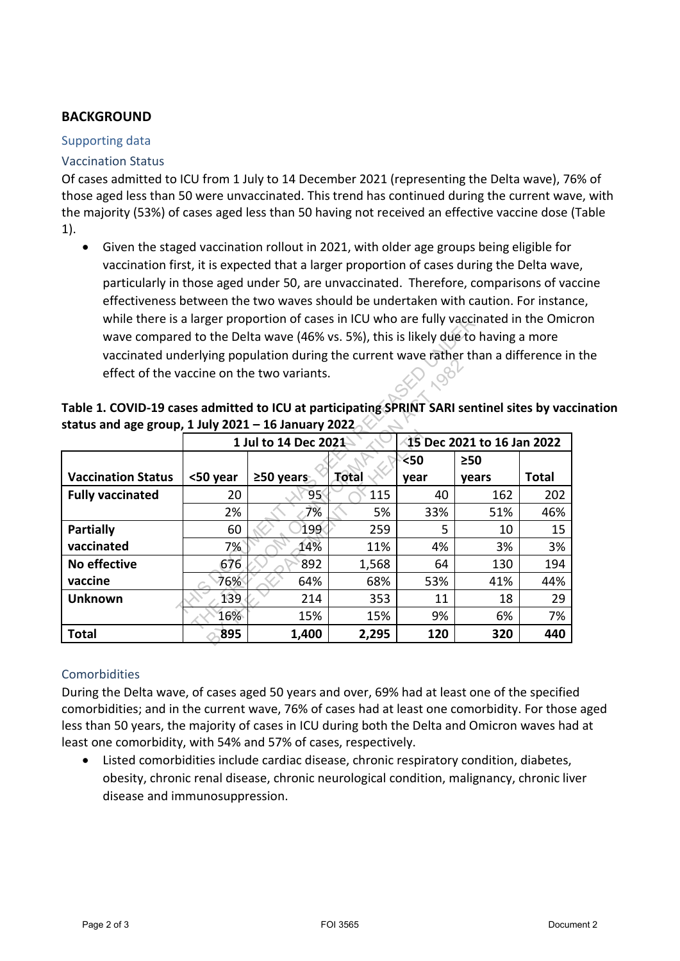# **BACKGROUND**

## Supporting data

## Vaccination Status

Of cases admitted to ICU from 1 July to 14 December 2021 (representing the Delta wave), 76% of those aged less than 50 were unvaccinated. This trend has continued during the current wave, with the majority (53%) of cases aged less than 50 having not received an effective vaccine dose (Table 1).

• Given the staged vaccination rollout in 2021, with older age groups being eligible for vaccination first, it is expected that a larger proportion of cases during the Delta wave, particularly in those aged under 50, are unvaccinated. Therefore, comparisons of vaccine effectiveness between the two waves should be undertaken with caution. For instance, while there is a larger proportion of cases in ICU who are fully vaccinated in the Omicron wave compared to the Delta wave (46% vs. 5%), this is likely due to having a more vaccinated underlying population during the current wave rather than a difference in the effect of the vaccine on the two variants.

|                                                                                                                                                                                                                    |          | 1 Jul to 14 Dec 2021                                                                            |                                                                 |             | 15 Dec 2021 to 16 Jan 2022                                                             |              |  |
|--------------------------------------------------------------------------------------------------------------------------------------------------------------------------------------------------------------------|----------|-------------------------------------------------------------------------------------------------|-----------------------------------------------------------------|-------------|----------------------------------------------------------------------------------------|--------------|--|
| <b>Vaccination Status</b>                                                                                                                                                                                          | <50 year | $\geq$ 50 years                                                                                 | <b>Total</b>                                                    | <50<br>year | $\geq 50$<br>years                                                                     | <b>Total</b> |  |
| <b>Fully vaccinated</b>                                                                                                                                                                                            | 20       | 95 <sup>′</sup>                                                                                 | 115                                                             | 40          | 162                                                                                    | 202          |  |
|                                                                                                                                                                                                                    | 2%       | 7%                                                                                              | 5%                                                              | 33%         | 51%                                                                                    | 46%          |  |
| Partially                                                                                                                                                                                                          | 60       | 199                                                                                             | 259                                                             | 5           | 10                                                                                     | 15           |  |
| vaccinated                                                                                                                                                                                                         | 7%       | 14%                                                                                             | 11%                                                             | 4%          | 3%                                                                                     | 3%           |  |
| No effective                                                                                                                                                                                                       | 676      | 892                                                                                             | 1,568                                                           | 64          | 130                                                                                    | 194          |  |
| vaccine                                                                                                                                                                                                            | 76%      | 64%                                                                                             | 68%                                                             | 53%         | 41%                                                                                    | 44%          |  |
| <b>Unknown</b>                                                                                                                                                                                                     | 139      | 214                                                                                             | 353                                                             | 11          | 18                                                                                     | 29           |  |
|                                                                                                                                                                                                                    | 16%      | 15%                                                                                             | 15%                                                             | 9%          | 6%                                                                                     | 7%           |  |
| <b>Total</b>                                                                                                                                                                                                       | 895      | 1,400                                                                                           | 2,295                                                           | 120         | 320                                                                                    | 440          |  |
| Comorbidities<br>During the Delta wave, of cases aged 50 years and over, 69% had at least one of the specified<br>comorbidities; and in the current wave, 76% of cases had at least one comorbidity. For those age |          | less than 50 years, the majority of cases in ICU during both the Delta and Omicron waves had at | least one comorbidity, with 54% and 57% of cases, respectively. |             | Listed comorbidities include cardiac disease, chronic respiratory condition, diabetes, |              |  |

#### **Table 1. COVID-19 cases admitted to ICU at participating SPRINT SARI sentinel sites by vaccination status and age group, 1 July 2021 – 16 January 2022**

# Comorbidities